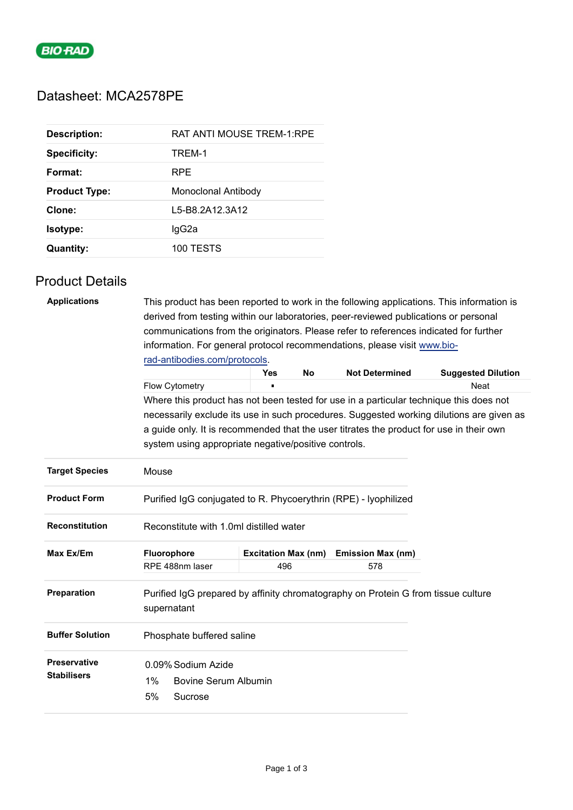

# Datasheet: MCA2578PE

| <b>Description:</b>  | <b>RAT ANTI MOUSE TREM-1:RPE</b> |
|----------------------|----------------------------------|
| <b>Specificity:</b>  | TREM-1                           |
| Format:              | <b>RPE</b>                       |
| <b>Product Type:</b> | Monoclonal Antibody              |
| Clone:               | L5-B8.2A12.3A12                  |
| <b>Isotype:</b>      | lgG2a                            |
| <b>Quantity:</b>     | 100 TESTS                        |

## Product Details

| <b>Applications</b>    | This product has been reported to work in the following applications. This information is                                                                                          |                                                                          |           |                          |             |  |  |  |
|------------------------|------------------------------------------------------------------------------------------------------------------------------------------------------------------------------------|--------------------------------------------------------------------------|-----------|--------------------------|-------------|--|--|--|
|                        | derived from testing within our laboratories, peer-reviewed publications or personal                                                                                               |                                                                          |           |                          |             |  |  |  |
|                        | communications from the originators. Please refer to references indicated for further                                                                                              |                                                                          |           |                          |             |  |  |  |
|                        |                                                                                                                                                                                    | information. For general protocol recommendations, please visit www.bio- |           |                          |             |  |  |  |
|                        | rad-antibodies.com/protocols.                                                                                                                                                      | <b>Suggested Dilution</b>                                                |           |                          |             |  |  |  |
|                        | Flow Cytometry                                                                                                                                                                     | <b>Yes</b>                                                               | <b>No</b> | <b>Not Determined</b>    | <b>Neat</b> |  |  |  |
|                        |                                                                                                                                                                                    |                                                                          |           |                          |             |  |  |  |
|                        | Where this product has not been tested for use in a particular technique this does not<br>necessarily exclude its use in such procedures. Suggested working dilutions are given as |                                                                          |           |                          |             |  |  |  |
|                        |                                                                                                                                                                                    |                                                                          |           |                          |             |  |  |  |
|                        | a guide only. It is recommended that the user titrates the product for use in their own<br>system using appropriate negative/positive controls.                                    |                                                                          |           |                          |             |  |  |  |
|                        |                                                                                                                                                                                    |                                                                          |           |                          |             |  |  |  |
| <b>Target Species</b>  | Mouse                                                                                                                                                                              |                                                                          |           |                          |             |  |  |  |
| <b>Product Form</b>    | Purified IgG conjugated to R. Phycoerythrin (RPE) - Iyophilized                                                                                                                    |                                                                          |           |                          |             |  |  |  |
| <b>Reconstitution</b>  | Reconstitute with 1.0ml distilled water                                                                                                                                            |                                                                          |           |                          |             |  |  |  |
| Max Ex/Em              | Fluorophore                                                                                                                                                                        | <b>Excitation Max (nm)</b>                                               |           | <b>Emission Max (nm)</b> |             |  |  |  |
|                        | RPE 488nm laser                                                                                                                                                                    | 496                                                                      |           | 578                      |             |  |  |  |
| Preparation            | Purified IgG prepared by affinity chromatography on Protein G from tissue culture<br>supernatant                                                                                   |                                                                          |           |                          |             |  |  |  |
| <b>Buffer Solution</b> | Phosphate buffered saline                                                                                                                                                          |                                                                          |           |                          |             |  |  |  |
| <b>Preservative</b>    | 0.09% Sodium Azide                                                                                                                                                                 |                                                                          |           |                          |             |  |  |  |
| <b>Stabilisers</b>     | 1%<br><b>Bovine Serum Albumin</b>                                                                                                                                                  |                                                                          |           |                          |             |  |  |  |
|                        | 5%<br>Sucrose                                                                                                                                                                      |                                                                          |           |                          |             |  |  |  |
|                        |                                                                                                                                                                                    |                                                                          |           |                          |             |  |  |  |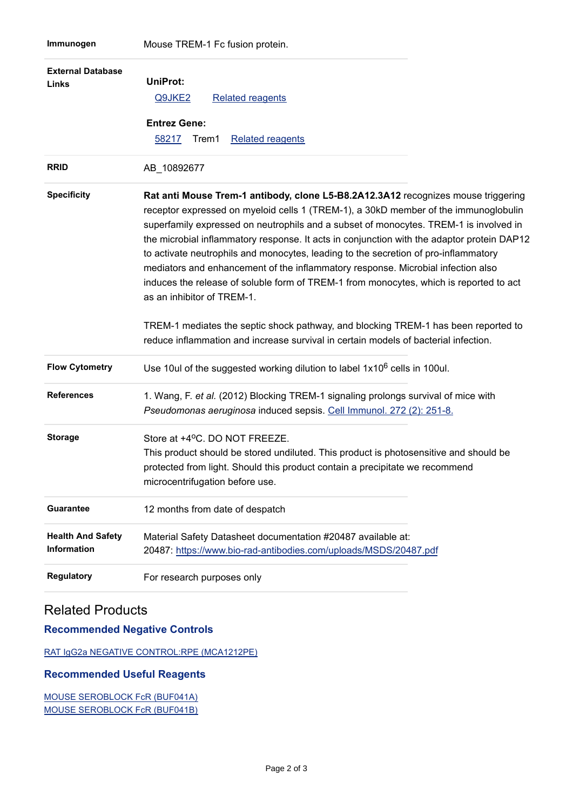| <b>External Database</b><br>Links              | <b>UniProt:</b><br>Q9JKE2<br><b>Related reagents</b><br><b>Entrez Gene:</b><br>58217<br>Trem1<br><b>Related reagents</b>                                                                                                                                                                                                                                                                                                                                                                                                                                                                                                                                                                                                                                 |
|------------------------------------------------|----------------------------------------------------------------------------------------------------------------------------------------------------------------------------------------------------------------------------------------------------------------------------------------------------------------------------------------------------------------------------------------------------------------------------------------------------------------------------------------------------------------------------------------------------------------------------------------------------------------------------------------------------------------------------------------------------------------------------------------------------------|
| <b>RRID</b>                                    | AB_10892677                                                                                                                                                                                                                                                                                                                                                                                                                                                                                                                                                                                                                                                                                                                                              |
| <b>Specificity</b>                             | Rat anti Mouse Trem-1 antibody, clone L5-B8.2A12.3A12 recognizes mouse triggering<br>receptor expressed on myeloid cells 1 (TREM-1), a 30kD member of the immunoglobulin<br>superfamily expressed on neutrophils and a subset of monocytes. TREM-1 is involved in<br>the microbial inflammatory response. It acts in conjunction with the adaptor protein DAP12<br>to activate neutrophils and monocytes, leading to the secretion of pro-inflammatory<br>mediators and enhancement of the inflammatory response. Microbial infection also<br>induces the release of soluble form of TREM-1 from monocytes, which is reported to act<br>as an inhibitor of TREM-1.<br>TREM-1 mediates the septic shock pathway, and blocking TREM-1 has been reported to |
|                                                | reduce inflammation and increase survival in certain models of bacterial infection.                                                                                                                                                                                                                                                                                                                                                                                                                                                                                                                                                                                                                                                                      |
| <b>Flow Cytometry</b>                          | Use 10ul of the suggested working dilution to label $1x10^6$ cells in 100ul.                                                                                                                                                                                                                                                                                                                                                                                                                                                                                                                                                                                                                                                                             |
| <b>References</b>                              | 1. Wang, F. et al. (2012) Blocking TREM-1 signaling prolongs survival of mice with<br>Pseudomonas aeruginosa induced sepsis. Cell Immunol. 272 (2): 251-8.                                                                                                                                                                                                                                                                                                                                                                                                                                                                                                                                                                                               |
| <b>Storage</b>                                 | Store at +4°C. DO NOT FREEZE.<br>This product should be stored undiluted. This product is photosensitive and should be<br>protected from light. Should this product contain a precipitate we recommend<br>microcentrifugation before use.                                                                                                                                                                                                                                                                                                                                                                                                                                                                                                                |
| <b>Guarantee</b>                               | 12 months from date of despatch                                                                                                                                                                                                                                                                                                                                                                                                                                                                                                                                                                                                                                                                                                                          |
| <b>Health And Safety</b><br><b>Information</b> | Material Safety Datasheet documentation #20487 available at:<br>20487: https://www.bio-rad-antibodies.com/uploads/MSDS/20487.pdf                                                                                                                                                                                                                                                                                                                                                                                                                                                                                                                                                                                                                         |
| <b>Regulatory</b>                              | For research purposes only                                                                                                                                                                                                                                                                                                                                                                                                                                                                                                                                                                                                                                                                                                                               |

## Related Products

### **Recommended Negative Controls**

[RAT IgG2a NEGATIVE CONTROL:RPE \(MCA1212PE\)](https://www.bio-rad-antibodies.com/control/rat-igg2a-negative-control-mca1212.html?f=rpe)

### **Recommended Useful Reagents**

[MOUSE SEROBLOCK FcR \(BUF041A\)](https://www.bio-rad-antibodies.com/reagent/mouse-mouse-seroblock-fcr-accessory-reagent-fcr4g8-buf041.html) [MOUSE SEROBLOCK FcR \(BUF041B\)](https://www.bio-rad-antibodies.com/reagent/mouse-mouse-seroblock-fcr-accessory-reagent-fcr4g8-buf041.html?f=reagent)